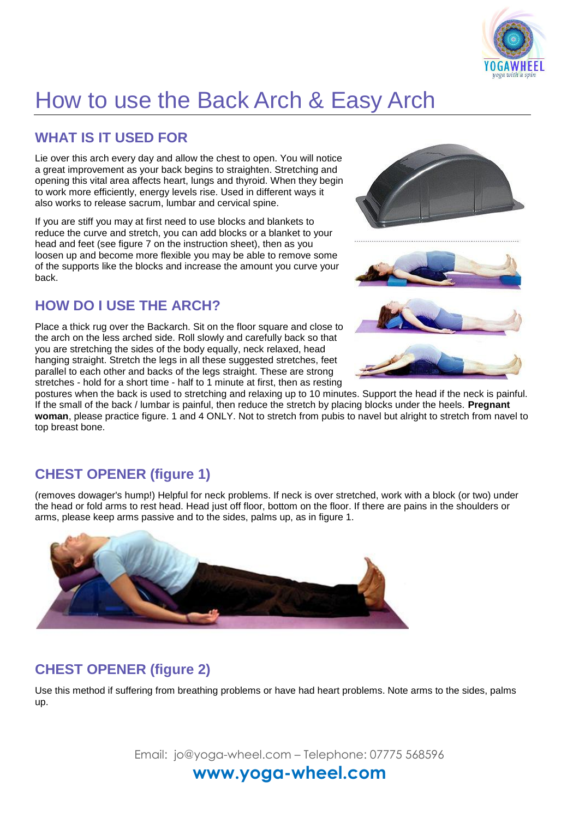

# How to use the Back Arch & Easy Arch

#### **WHAT IS IT USED FOR**

Lie over this arch every day and allow the chest to open. You will notice a great improvement as your back begins to straighten. Stretching and opening this vital area affects heart, lungs and thyroid. When they begin to work more efficiently, energy levels rise. Used in different ways it also works to release sacrum, lumbar and cervical spine.

If you are stiff you may at first need to use blocks and blankets to reduce the curve and stretch, you can add blocks or a blanket to your head and feet (see figure 7 on the instruction sheet), then as you loosen up and become more flexible you may be able to remove some of the supports like the blocks and increase the amount you curve your back.

#### **HOW DO I USE THE ARCH?**

Place a thick rug over the Backarch. Sit on the floor square and close to the arch on the less arched side. Roll slowly and carefully back so that you are stretching the sides of the body equally, neck relaxed, head hanging straight. Stretch the legs in all these suggested stretches, feet parallel to each other and backs of the legs straight. These are strong stretches - hold for a short time - half to 1 minute at first, then as resting





postures when the back is used to stretching and relaxing up to 10 minutes. Support the head if the neck is painful. If the small of the back / lumbar is painful, then reduce the stretch by placing blocks under the heels. **Pregnant woman**, please practice figure. 1 and 4 ONLY. Not to stretch from pubis to navel but alright to stretch from navel to top breast bone.

## **CHEST OPENER (figure 1)**

(removes dowager's hump!) Helpful for neck problems. If neck is over stretched, work with a block (or two) under the head or fold arms to rest head. Head just off floor, bottom on the floor. If there are pains in the shoulders or arms, please keep arms passive and to the sides, palms up, as in figure 1.



#### **CHEST OPENER (figure 2)**

Use this method if suffering from breathing problems or have had heart problems. Note arms to the sides, palms up.

Email: jo@yoga-wheel.com – Telephone: 07775 568596

## **www.yoga-wheel.com**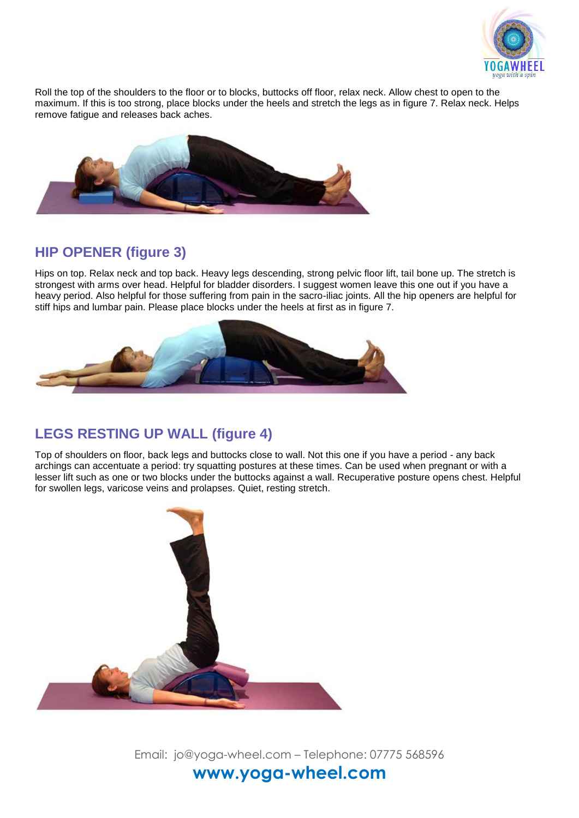

Roll the top of the shoulders to the floor or to blocks, buttocks off floor, relax neck. Allow chest to open to the maximum. If this is too strong, place blocks under the heels and stretch the legs as in figure 7. Relax neck. Helps remove fatigue and releases back aches.



#### **HIP OPENER (figure 3)**

Hips on top. Relax neck and top back. Heavy legs descending, strong pelvic floor lift, tail bone up. The stretch is strongest with arms over head. Helpful for bladder disorders. I suggest women leave this one out if you have a heavy period. Also helpful for those suffering from pain in the sacro-iliac joints. All the hip openers are helpful for stiff hips and lumbar pain. Please place blocks under the heels at first as in figure 7.



#### **LEGS RESTING UP WALL (figure 4)**

Top of shoulders on floor, back legs and buttocks close to wall. Not this one if you have a period - any back archings can accentuate a period: try squatting postures at these times. Can be used when pregnant or with a lesser lift such as one or two blocks under the buttocks against a wall. Recuperative posture opens chest. Helpful for swollen legs, varicose veins and prolapses. Quiet, resting stretch.



Email: jo@yoga-wheel.com – Telephone: 07775 568596 **www.yoga-wheel.com**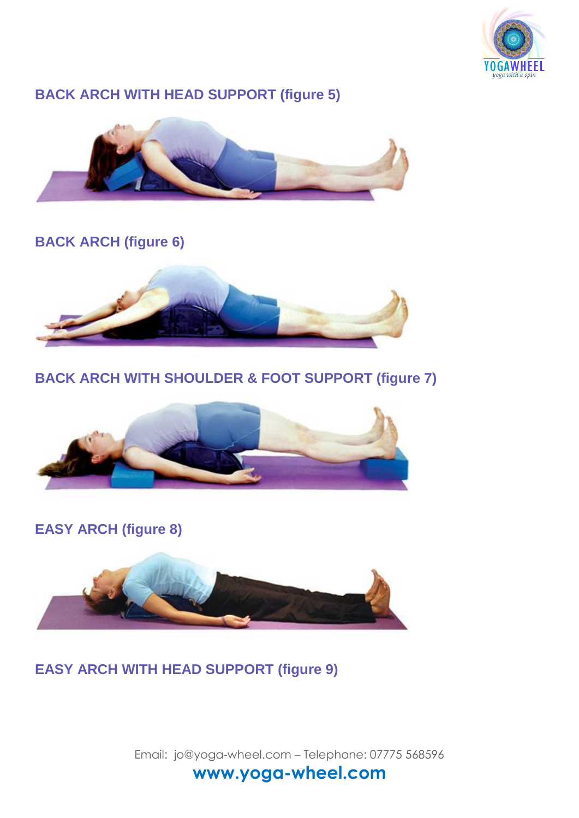

## **BACK ARCH WITH HEAD SUPPORT (figure 5)**



## **BACK ARCH (figure 6)**



## **BACK ARCH WITH SHOULDER & FOOT SUPPORT (figure 7)**



**EASY ARCH (figure 8)**



**EASY ARCH WITH HEAD SUPPORT (figure 9)**

Email: jo@yoga-wheel.com – Telephone: 07775 568596 **www.yoga-wheel.com**